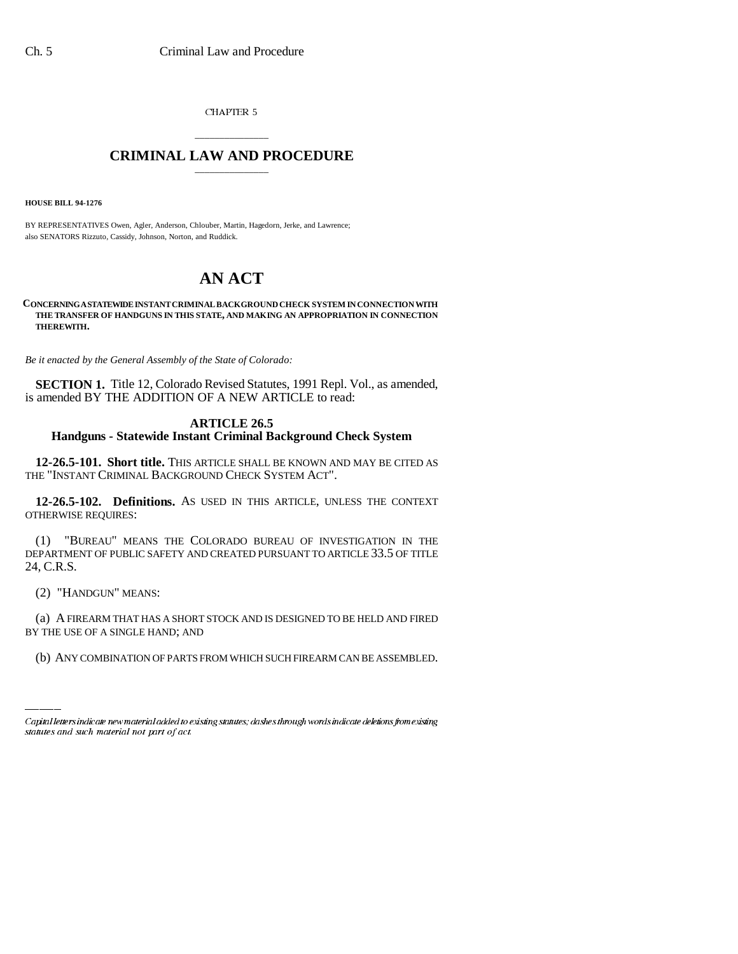CHAPTER 5

## \_\_\_\_\_\_\_\_\_\_\_\_\_\_\_ **CRIMINAL LAW AND PROCEDURE** \_\_\_\_\_\_\_\_\_\_\_\_\_\_\_

**HOUSE BILL 94-1276**

BY REPRESENTATIVES Owen, Agler, Anderson, Chlouber, Martin, Hagedorn, Jerke, and Lawrence; also SENATORS Rizzuto, Cassidy, Johnson, Norton, and Ruddick.

## **AN ACT**

**CONCERNING A STATEWIDE INSTANT CRIMINAL BACKGROUND CHECK SYSTEM IN CONNECTION WITH THE TRANSFER OF HANDGUNS IN THIS STATE, AND MAKING AN APPROPRIATION IN CONNECTION THEREWITH.**

*Be it enacted by the General Assembly of the State of Colorado:*

**SECTION 1.** Title 12, Colorado Revised Statutes, 1991 Repl. Vol., as amended, is amended BY THE ADDITION OF A NEW ARTICLE to read:

## **ARTICLE 26.5 Handguns - Statewide Instant Criminal Background Check System**

**12-26.5-101. Short title.** THIS ARTICLE SHALL BE KNOWN AND MAY BE CITED AS THE "INSTANT CRIMINAL BACKGROUND CHECK SYSTEM ACT".

**12-26.5-102. Definitions.** AS USED IN THIS ARTICLE, UNLESS THE CONTEXT OTHERWISE REQUIRES:

(1) "BUREAU" MEANS THE COLORADO BUREAU OF INVESTIGATION IN THE DEPARTMENT OF PUBLIC SAFETY AND CREATED PURSUANT TO ARTICLE 33.5 OF TITLE 24, C.R.S.

(2) "HANDGUN" MEANS:

(a) A FIREARM THAT HAS A SHORT STOCK AND IS DESIGNED TO BE HELD AND FIRED BY THE USE OF A SINGLE HAND; AND

(b) ANY COMBINATION OF PARTS FROM WHICH SUCH FIREARM CAN BE ASSEMBLED.

Capital letters indicate new material added to existing statutes; dashes through words indicate deletions from existing statutes and such material not part of act.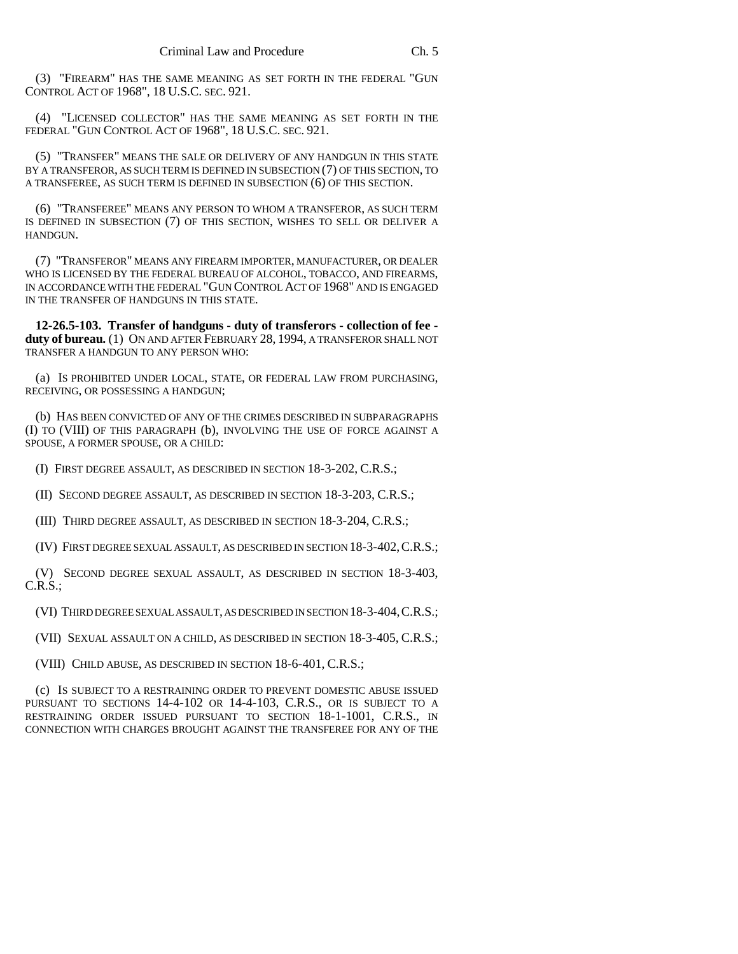(3) "FIREARM" HAS THE SAME MEANING AS SET FORTH IN THE FEDERAL "GUN CONTROL ACT OF 1968", 18 U.S.C. SEC. 921.

(4) "LICENSED COLLECTOR" HAS THE SAME MEANING AS SET FORTH IN THE FEDERAL "GUN CONTROL ACT OF 1968", 18 U.S.C. SEC. 921.

(5) "TRANSFER" MEANS THE SALE OR DELIVERY OF ANY HANDGUN IN THIS STATE BY A TRANSFEROR, AS SUCH TERM IS DEFINED IN SUBSECTION (7) OF THIS SECTION, TO A TRANSFEREE, AS SUCH TERM IS DEFINED IN SUBSECTION (6) OF THIS SECTION.

(6) "TRANSFEREE" MEANS ANY PERSON TO WHOM A TRANSFEROR, AS SUCH TERM IS DEFINED IN SUBSECTION (7) OF THIS SECTION, WISHES TO SELL OR DELIVER A HANDGUN.

(7) "TRANSFEROR" MEANS ANY FIREARM IMPORTER, MANUFACTURER, OR DEALER WHO IS LICENSED BY THE FEDERAL BUREAU OF ALCOHOL, TOBACCO, AND FIREARMS, IN ACCORDANCE WITH THE FEDERAL "GUN CONTROL ACT OF 1968" AND IS ENGAGED IN THE TRANSFER OF HANDGUNS IN THIS STATE.

**12-26.5-103. Transfer of handguns - duty of transferors - collection of fee duty of bureau.** (1) ON AND AFTER FEBRUARY 28, 1994, A TRANSFEROR SHALL NOT TRANSFER A HANDGUN TO ANY PERSON WHO:

(a) IS PROHIBITED UNDER LOCAL, STATE, OR FEDERAL LAW FROM PURCHASING, RECEIVING, OR POSSESSING A HANDGUN;

(b) HAS BEEN CONVICTED OF ANY OF THE CRIMES DESCRIBED IN SUBPARAGRAPHS (I) TO (VIII) OF THIS PARAGRAPH (b), INVOLVING THE USE OF FORCE AGAINST A SPOUSE, A FORMER SPOUSE, OR A CHILD:

(I) FIRST DEGREE ASSAULT, AS DESCRIBED IN SECTION 18-3-202, C.R.S.;

(II) SECOND DEGREE ASSAULT, AS DESCRIBED IN SECTION 18-3-203, C.R.S.;

(III) THIRD DEGREE ASSAULT, AS DESCRIBED IN SECTION 18-3-204, C.R.S.;

(IV) FIRST DEGREE SEXUAL ASSAULT, AS DESCRIBED IN SECTION 18-3-402,C.R.S.;

(V) SECOND DEGREE SEXUAL ASSAULT, AS DESCRIBED IN SECTION 18-3-403, C.R.S.;

(VI) THIRD DEGREE SEXUAL ASSAULT, AS DESCRIBED IN SECTION 18-3-404,C.R.S.;

(VII) SEXUAL ASSAULT ON A CHILD, AS DESCRIBED IN SECTION 18-3-405, C.R.S.;

(VIII) CHILD ABUSE, AS DESCRIBED IN SECTION 18-6-401, C.R.S.;

(c) IS SUBJECT TO A RESTRAINING ORDER TO PREVENT DOMESTIC ABUSE ISSUED PURSUANT TO SECTIONS 14-4-102 OR 14-4-103, C.R.S., OR IS SUBJECT TO A RESTRAINING ORDER ISSUED PURSUANT TO SECTION 18-1-1001, C.R.S., IN CONNECTION WITH CHARGES BROUGHT AGAINST THE TRANSFEREE FOR ANY OF THE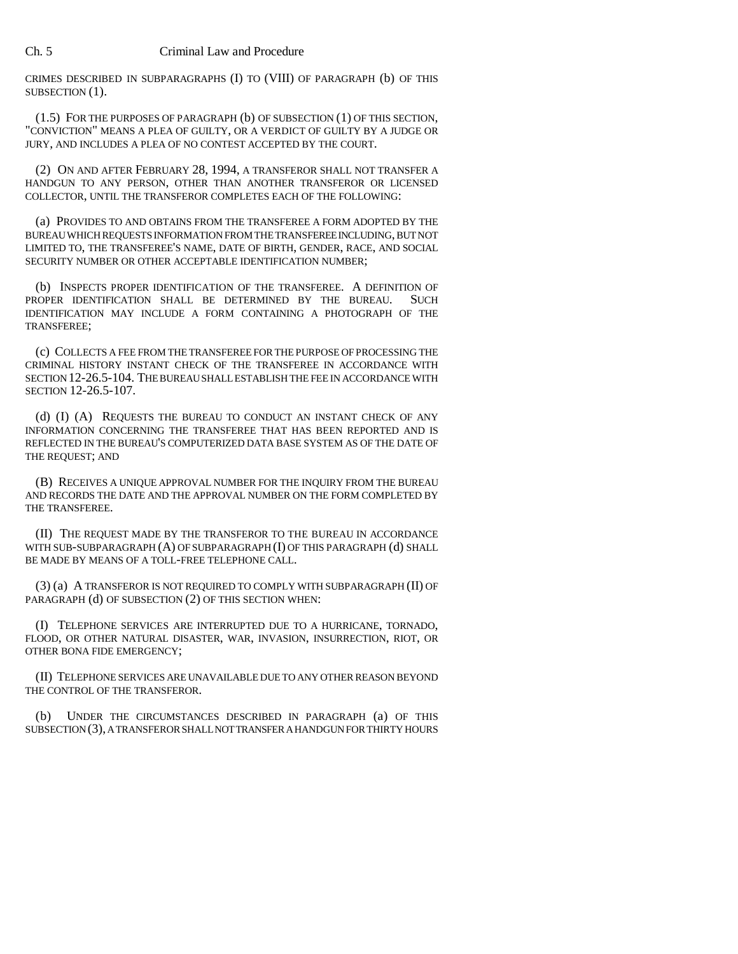CRIMES DESCRIBED IN SUBPARAGRAPHS (I) TO (VIII) OF PARAGRAPH (b) OF THIS SUBSECTION (1).

(1.5) FOR THE PURPOSES OF PARAGRAPH (b) OF SUBSECTION (1) OF THIS SECTION, "CONVICTION" MEANS A PLEA OF GUILTY, OR A VERDICT OF GUILTY BY A JUDGE OR JURY, AND INCLUDES A PLEA OF NO CONTEST ACCEPTED BY THE COURT.

(2) ON AND AFTER FEBRUARY 28, 1994, A TRANSFEROR SHALL NOT TRANSFER A HANDGUN TO ANY PERSON, OTHER THAN ANOTHER TRANSFEROR OR LICENSED COLLECTOR, UNTIL THE TRANSFEROR COMPLETES EACH OF THE FOLLOWING:

(a) PROVIDES TO AND OBTAINS FROM THE TRANSFEREE A FORM ADOPTED BY THE BUREAU WHICH REQUESTS INFORMATION FROM THE TRANSFEREE INCLUDING, BUT NOT LIMITED TO, THE TRANSFEREE'S NAME, DATE OF BIRTH, GENDER, RACE, AND SOCIAL SECURITY NUMBER OR OTHER ACCEPTABLE IDENTIFICATION NUMBER;

(b) INSPECTS PROPER IDENTIFICATION OF THE TRANSFEREE. A DEFINITION OF ROPER IDENTIFICATION SHALL BE DETERMINED BY THE BUREAU. SUCH PROPER IDENTIFICATION SHALL BE DETERMINED BY THE BUREAU. IDENTIFICATION MAY INCLUDE A FORM CONTAINING A PHOTOGRAPH OF THE TRANSFEREE;

(c) COLLECTS A FEE FROM THE TRANSFEREE FOR THE PURPOSE OF PROCESSING THE CRIMINAL HISTORY INSTANT CHECK OF THE TRANSFEREE IN ACCORDANCE WITH SECTION 12-26.5-104. THE BUREAU SHALL ESTABLISH THE FEE IN ACCORDANCE WITH SECTION 12-26.5-107.

(d) (I) (A) REQUESTS THE BUREAU TO CONDUCT AN INSTANT CHECK OF ANY INFORMATION CONCERNING THE TRANSFEREE THAT HAS BEEN REPORTED AND IS REFLECTED IN THE BUREAU'S COMPUTERIZED DATA BASE SYSTEM AS OF THE DATE OF THE REQUEST; AND

(B) RECEIVES A UNIQUE APPROVAL NUMBER FOR THE INQUIRY FROM THE BUREAU AND RECORDS THE DATE AND THE APPROVAL NUMBER ON THE FORM COMPLETED BY THE TRANSFEREE.

(II) THE REQUEST MADE BY THE TRANSFEROR TO THE BUREAU IN ACCORDANCE WITH SUB-SUBPARAGRAPH (A) OF SUBPARAGRAPH (I) OF THIS PARAGRAPH (d) SHALL BE MADE BY MEANS OF A TOLL-FREE TELEPHONE CALL.

(3) (a) A TRANSFEROR IS NOT REQUIRED TO COMPLY WITH SUBPARAGRAPH (II) OF PARAGRAPH (d) OF SUBSECTION (2) OF THIS SECTION WHEN:

(I) TELEPHONE SERVICES ARE INTERRUPTED DUE TO A HURRICANE, TORNADO, FLOOD, OR OTHER NATURAL DISASTER, WAR, INVASION, INSURRECTION, RIOT, OR OTHER BONA FIDE EMERGENCY;

(II) TELEPHONE SERVICES ARE UNAVAILABLE DUE TO ANY OTHER REASON BEYOND THE CONTROL OF THE TRANSFEROR.

(b) UNDER THE CIRCUMSTANCES DESCRIBED IN PARAGRAPH (a) OF THIS SUBSECTION (3), A TRANSFEROR SHALL NOT TRANSFER A HANDGUN FOR THIRTY HOURS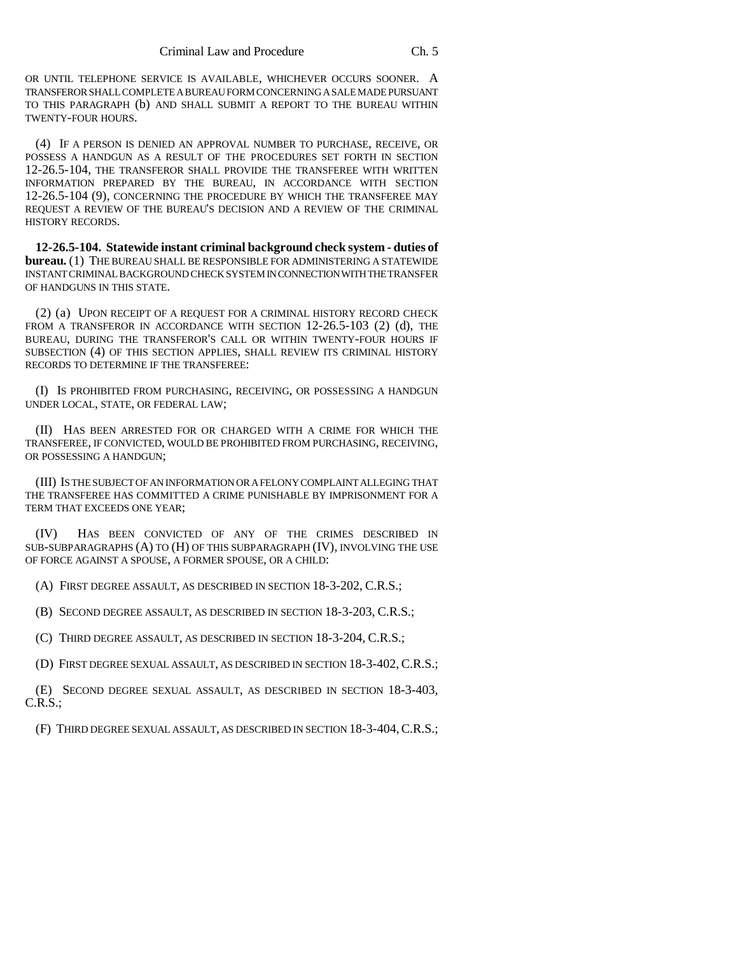OR UNTIL TELEPHONE SERVICE IS AVAILABLE, WHICHEVER OCCURS SOONER. A TRANSFEROR SHALL COMPLETE A BUREAU FORM CONCERNING A SALE MADE PURSUANT TO THIS PARAGRAPH (b) AND SHALL SUBMIT A REPORT TO THE BUREAU WITHIN TWENTY-FOUR HOURS.

(4) IF A PERSON IS DENIED AN APPROVAL NUMBER TO PURCHASE, RECEIVE, OR POSSESS A HANDGUN AS A RESULT OF THE PROCEDURES SET FORTH IN SECTION 12-26.5-104, THE TRANSFEROR SHALL PROVIDE THE TRANSFEREE WITH WRITTEN INFORMATION PREPARED BY THE BUREAU, IN ACCORDANCE WITH SECTION 12-26.5-104 (9), CONCERNING THE PROCEDURE BY WHICH THE TRANSFEREE MAY REQUEST A REVIEW OF THE BUREAU'S DECISION AND A REVIEW OF THE CRIMINAL HISTORY RECORDS.

**12-26.5-104. Statewide instant criminal background check system - duties of bureau.** (1) THE BUREAU SHALL BE RESPONSIBLE FOR ADMINISTERING A STATEWIDE INSTANT CRIMINAL BACKGROUND CHECK SYSTEM IN CONNECTION WITH THE TRANSFER OF HANDGUNS IN THIS STATE.

(2) (a) UPON RECEIPT OF A REQUEST FOR A CRIMINAL HISTORY RECORD CHECK FROM A TRANSFEROR IN ACCORDANCE WITH SECTION 12-26.5-103 (2) (d), THE BUREAU, DURING THE TRANSFEROR'S CALL OR WITHIN TWENTY-FOUR HOURS IF SUBSECTION (4) OF THIS SECTION APPLIES, SHALL REVIEW ITS CRIMINAL HISTORY RECORDS TO DETERMINE IF THE TRANSFEREE:

(I) IS PROHIBITED FROM PURCHASING, RECEIVING, OR POSSESSING A HANDGUN UNDER LOCAL, STATE, OR FEDERAL LAW;

(II) HAS BEEN ARRESTED FOR OR CHARGED WITH A CRIME FOR WHICH THE TRANSFEREE, IF CONVICTED, WOULD BE PROHIBITED FROM PURCHASING, RECEIVING, OR POSSESSING A HANDGUN;

(III) IS THE SUBJECT OF AN INFORMATION OR A FELONY COMPLAINT ALLEGING THAT THE TRANSFEREE HAS COMMITTED A CRIME PUNISHABLE BY IMPRISONMENT FOR A TERM THAT EXCEEDS ONE YEAR;

(IV) HAS BEEN CONVICTED OF ANY OF THE CRIMES DESCRIBED IN SUB-SUBPARAGRAPHS (A) TO (H) OF THIS SUBPARAGRAPH (IV), INVOLVING THE USE OF FORCE AGAINST A SPOUSE, A FORMER SPOUSE, OR A CHILD:

(A) FIRST DEGREE ASSAULT, AS DESCRIBED IN SECTION 18-3-202, C.R.S.;

(B) SECOND DEGREE ASSAULT, AS DESCRIBED IN SECTION 18-3-203, C.R.S.;

(C) THIRD DEGREE ASSAULT, AS DESCRIBED IN SECTION 18-3-204, C.R.S.;

(D) FIRST DEGREE SEXUAL ASSAULT, AS DESCRIBED IN SECTION 18-3-402, C.R.S.;

(E) SECOND DEGREE SEXUAL ASSAULT, AS DESCRIBED IN SECTION 18-3-403, C.R.S.;

(F) THIRD DEGREE SEXUAL ASSAULT, AS DESCRIBED IN SECTION 18-3-404,C.R.S.;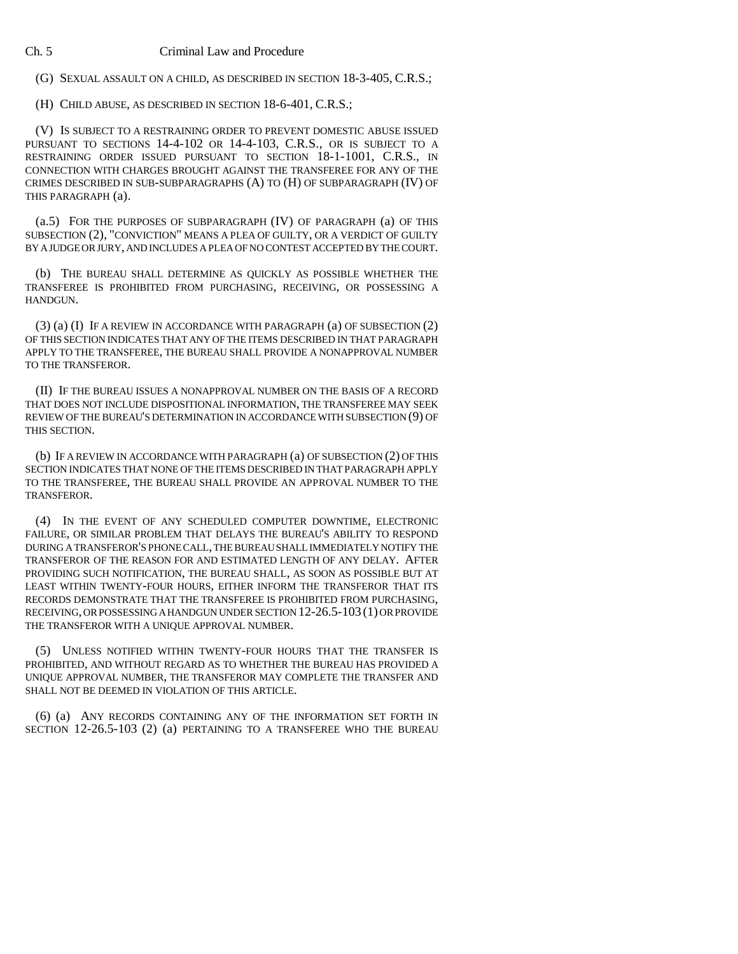## Ch. 5 Criminal Law and Procedure

(G) SEXUAL ASSAULT ON A CHILD, AS DESCRIBED IN SECTION 18-3-405, C.R.S.;

(H) CHILD ABUSE, AS DESCRIBED IN SECTION 18-6-401, C.R.S.;

(V) IS SUBJECT TO A RESTRAINING ORDER TO PREVENT DOMESTIC ABUSE ISSUED PURSUANT TO SECTIONS 14-4-102 OR 14-4-103, C.R.S., OR IS SUBJECT TO A RESTRAINING ORDER ISSUED PURSUANT TO SECTION 18-1-1001, C.R.S., IN CONNECTION WITH CHARGES BROUGHT AGAINST THE TRANSFEREE FOR ANY OF THE CRIMES DESCRIBED IN SUB-SUBPARAGRAPHS (A) TO (H) OF SUBPARAGRAPH (IV) OF THIS PARAGRAPH (a).

(a.5) FOR THE PURPOSES OF SUBPARAGRAPH (IV) OF PARAGRAPH (a) OF THIS SUBSECTION (2), "CONVICTION" MEANS A PLEA OF GUILTY, OR A VERDICT OF GUILTY BY A JUDGE OR JURY, AND INCLUDES A PLEA OF NO CONTEST ACCEPTED BY THE COURT.

(b) THE BUREAU SHALL DETERMINE AS QUICKLY AS POSSIBLE WHETHER THE TRANSFEREE IS PROHIBITED FROM PURCHASING, RECEIVING, OR POSSESSING A HANDGUN.

(3) (a) (I) IF A REVIEW IN ACCORDANCE WITH PARAGRAPH (a) OF SUBSECTION (2) OF THIS SECTION INDICATES THAT ANY OF THE ITEMS DESCRIBED IN THAT PARAGRAPH APPLY TO THE TRANSFEREE, THE BUREAU SHALL PROVIDE A NONAPPROVAL NUMBER TO THE TRANSFEROR.

(II) IF THE BUREAU ISSUES A NONAPPROVAL NUMBER ON THE BASIS OF A RECORD THAT DOES NOT INCLUDE DISPOSITIONAL INFORMATION, THE TRANSFEREE MAY SEEK REVIEW OF THE BUREAU'S DETERMINATION IN ACCORDANCE WITH SUBSECTION (9) OF THIS SECTION.

(b) IF A REVIEW IN ACCORDANCE WITH PARAGRAPH (a) OF SUBSECTION (2) OF THIS SECTION INDICATES THAT NONE OF THE ITEMS DESCRIBED IN THAT PARAGRAPH APPLY TO THE TRANSFEREE, THE BUREAU SHALL PROVIDE AN APPROVAL NUMBER TO THE TRANSFEROR.

(4) IN THE EVENT OF ANY SCHEDULED COMPUTER DOWNTIME, ELECTRONIC FAILURE, OR SIMILAR PROBLEM THAT DELAYS THE BUREAU'S ABILITY TO RESPOND DURING A TRANSFEROR'S PHONE CALL, THE BUREAU SHALL IMMEDIATELY NOTIFY THE TRANSFEROR OF THE REASON FOR AND ESTIMATED LENGTH OF ANY DELAY. AFTER PROVIDING SUCH NOTIFICATION, THE BUREAU SHALL, AS SOON AS POSSIBLE BUT AT LEAST WITHIN TWENTY-FOUR HOURS, EITHER INFORM THE TRANSFEROR THAT ITS RECORDS DEMONSTRATE THAT THE TRANSFEREE IS PROHIBITED FROM PURCHASING, RECEIVING, OR POSSESSING A HANDGUN UNDER SECTION 12-26.5-103 (1) OR PROVIDE THE TRANSFEROR WITH A UNIQUE APPROVAL NUMBER.

(5) UNLESS NOTIFIED WITHIN TWENTY-FOUR HOURS THAT THE TRANSFER IS PROHIBITED, AND WITHOUT REGARD AS TO WHETHER THE BUREAU HAS PROVIDED A UNIQUE APPROVAL NUMBER, THE TRANSFEROR MAY COMPLETE THE TRANSFER AND SHALL NOT BE DEEMED IN VIOLATION OF THIS ARTICLE.

(6) (a) ANY RECORDS CONTAINING ANY OF THE INFORMATION SET FORTH IN SECTION 12-26.5-103 (2) (a) PERTAINING TO A TRANSFEREE WHO THE BUREAU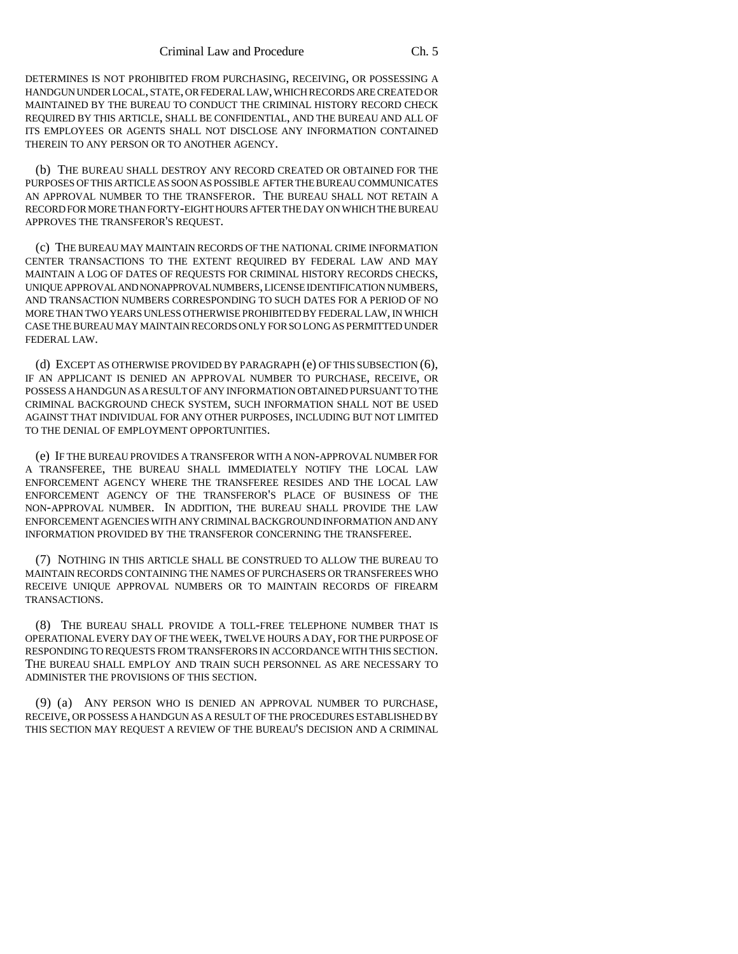DETERMINES IS NOT PROHIBITED FROM PURCHASING, RECEIVING, OR POSSESSING A HANDGUN UNDER LOCAL, STATE, OR FEDERAL LAW, WHICH RECORDS ARE CREATED OR MAINTAINED BY THE BUREAU TO CONDUCT THE CRIMINAL HISTORY RECORD CHECK REQUIRED BY THIS ARTICLE, SHALL BE CONFIDENTIAL, AND THE BUREAU AND ALL OF ITS EMPLOYEES OR AGENTS SHALL NOT DISCLOSE ANY INFORMATION CONTAINED THEREIN TO ANY PERSON OR TO ANOTHER AGENCY.

(b) THE BUREAU SHALL DESTROY ANY RECORD CREATED OR OBTAINED FOR THE PURPOSES OF THIS ARTICLE AS SOON AS POSSIBLE AFTER THE BUREAU COMMUNICATES AN APPROVAL NUMBER TO THE TRANSFEROR. THE BUREAU SHALL NOT RETAIN A RECORD FOR MORE THAN FORTY-EIGHT HOURS AFTER THE DAY ON WHICH THE BUREAU APPROVES THE TRANSFEROR'S REQUEST.

(c) THE BUREAU MAY MAINTAIN RECORDS OF THE NATIONAL CRIME INFORMATION CENTER TRANSACTIONS TO THE EXTENT REQUIRED BY FEDERAL LAW AND MAY MAINTAIN A LOG OF DATES OF REQUESTS FOR CRIMINAL HISTORY RECORDS CHECKS, UNIQUE APPROVAL AND NONAPPROVAL NUMBERS, LICENSE IDENTIFICATION NUMBERS, AND TRANSACTION NUMBERS CORRESPONDING TO SUCH DATES FOR A PERIOD OF NO MORE THAN TWO YEARS UNLESS OTHERWISE PROHIBITED BY FEDERAL LAW, IN WHICH CASE THE BUREAU MAY MAINTAIN RECORDS ONLY FOR SO LONG AS PERMITTED UNDER FEDERAL LAW.

(d) EXCEPT AS OTHERWISE PROVIDED BY PARAGRAPH (e) OF THIS SUBSECTION (6), IF AN APPLICANT IS DENIED AN APPROVAL NUMBER TO PURCHASE, RECEIVE, OR POSSESS A HANDGUN AS A RESULT OF ANY INFORMATION OBTAINED PURSUANT TO THE CRIMINAL BACKGROUND CHECK SYSTEM, SUCH INFORMATION SHALL NOT BE USED AGAINST THAT INDIVIDUAL FOR ANY OTHER PURPOSES, INCLUDING BUT NOT LIMITED TO THE DENIAL OF EMPLOYMENT OPPORTUNITIES.

(e) IF THE BUREAU PROVIDES A TRANSFEROR WITH A NON-APPROVAL NUMBER FOR A TRANSFEREE, THE BUREAU SHALL IMMEDIATELY NOTIFY THE LOCAL LAW ENFORCEMENT AGENCY WHERE THE TRANSFEREE RESIDES AND THE LOCAL LAW ENFORCEMENT AGENCY OF THE TRANSFEROR'S PLACE OF BUSINESS OF THE NON-APPROVAL NUMBER. IN ADDITION, THE BUREAU SHALL PROVIDE THE LAW ENFORCEMENT AGENCIES WITH ANY CRIMINAL BACKGROUND INFORMATION AND ANY INFORMATION PROVIDED BY THE TRANSFEROR CONCERNING THE TRANSFEREE.

(7) NOTHING IN THIS ARTICLE SHALL BE CONSTRUED TO ALLOW THE BUREAU TO MAINTAIN RECORDS CONTAINING THE NAMES OF PURCHASERS OR TRANSFEREES WHO RECEIVE UNIQUE APPROVAL NUMBERS OR TO MAINTAIN RECORDS OF FIREARM TRANSACTIONS.

(8) THE BUREAU SHALL PROVIDE A TOLL-FREE TELEPHONE NUMBER THAT IS OPERATIONAL EVERY DAY OF THE WEEK, TWELVE HOURS A DAY, FOR THE PURPOSE OF RESPONDING TO REQUESTS FROM TRANSFERORS IN ACCORDANCE WITH THIS SECTION. THE BUREAU SHALL EMPLOY AND TRAIN SUCH PERSONNEL AS ARE NECESSARY TO ADMINISTER THE PROVISIONS OF THIS SECTION.

(9) (a) ANY PERSON WHO IS DENIED AN APPROVAL NUMBER TO PURCHASE, RECEIVE, OR POSSESS A HANDGUN AS A RESULT OF THE PROCEDURES ESTABLISHED BY THIS SECTION MAY REQUEST A REVIEW OF THE BUREAU'S DECISION AND A CRIMINAL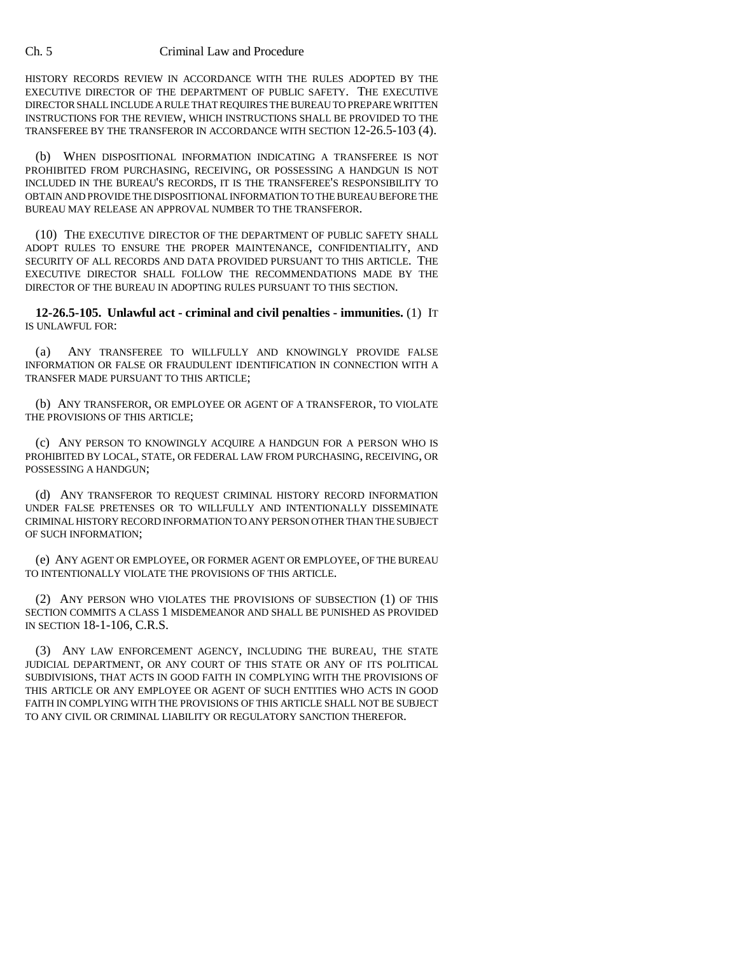HISTORY RECORDS REVIEW IN ACCORDANCE WITH THE RULES ADOPTED BY THE EXECUTIVE DIRECTOR OF THE DEPARTMENT OF PUBLIC SAFETY. THE EXECUTIVE DIRECTOR SHALL INCLUDE A RULE THAT REQUIRES THE BUREAU TO PREPARE WRITTEN INSTRUCTIONS FOR THE REVIEW, WHICH INSTRUCTIONS SHALL BE PROVIDED TO THE TRANSFEREE BY THE TRANSFEROR IN ACCORDANCE WITH SECTION 12-26.5-103 (4).

(b) WHEN DISPOSITIONAL INFORMATION INDICATING A TRANSFEREE IS NOT PROHIBITED FROM PURCHASING, RECEIVING, OR POSSESSING A HANDGUN IS NOT INCLUDED IN THE BUREAU'S RECORDS, IT IS THE TRANSFEREE'S RESPONSIBILITY TO OBTAIN AND PROVIDE THE DISPOSITIONAL INFORMATION TO THE BUREAU BEFORE THE BUREAU MAY RELEASE AN APPROVAL NUMBER TO THE TRANSFEROR.

(10) THE EXECUTIVE DIRECTOR OF THE DEPARTMENT OF PUBLIC SAFETY SHALL ADOPT RULES TO ENSURE THE PROPER MAINTENANCE, CONFIDENTIALITY, AND SECURITY OF ALL RECORDS AND DATA PROVIDED PURSUANT TO THIS ARTICLE. THE EXECUTIVE DIRECTOR SHALL FOLLOW THE RECOMMENDATIONS MADE BY THE DIRECTOR OF THE BUREAU IN ADOPTING RULES PURSUANT TO THIS SECTION.

**12-26.5-105. Unlawful act - criminal and civil penalties - immunities.** (1) IT IS UNLAWFUL FOR:

(a) ANY TRANSFEREE TO WILLFULLY AND KNOWINGLY PROVIDE FALSE INFORMATION OR FALSE OR FRAUDULENT IDENTIFICATION IN CONNECTION WITH A TRANSFER MADE PURSUANT TO THIS ARTICLE;

(b) ANY TRANSFEROR, OR EMPLOYEE OR AGENT OF A TRANSFEROR, TO VIOLATE THE PROVISIONS OF THIS ARTICLE;

(c) ANY PERSON TO KNOWINGLY ACQUIRE A HANDGUN FOR A PERSON WHO IS PROHIBITED BY LOCAL, STATE, OR FEDERAL LAW FROM PURCHASING, RECEIVING, OR POSSESSING A HANDGUN;

(d) ANY TRANSFEROR TO REQUEST CRIMINAL HISTORY RECORD INFORMATION UNDER FALSE PRETENSES OR TO WILLFULLY AND INTENTIONALLY DISSEMINATE CRIMINAL HISTORY RECORD INFORMATION TO ANY PERSON OTHER THAN THE SUBJECT OF SUCH INFORMATION;

(e) ANY AGENT OR EMPLOYEE, OR FORMER AGENT OR EMPLOYEE, OF THE BUREAU TO INTENTIONALLY VIOLATE THE PROVISIONS OF THIS ARTICLE.

(2) ANY PERSON WHO VIOLATES THE PROVISIONS OF SUBSECTION (1) OF THIS SECTION COMMITS A CLASS 1 MISDEMEANOR AND SHALL BE PUNISHED AS PROVIDED IN SECTION 18-1-106, C.R.S.

(3) ANY LAW ENFORCEMENT AGENCY, INCLUDING THE BUREAU, THE STATE JUDICIAL DEPARTMENT, OR ANY COURT OF THIS STATE OR ANY OF ITS POLITICAL SUBDIVISIONS, THAT ACTS IN GOOD FAITH IN COMPLYING WITH THE PROVISIONS OF THIS ARTICLE OR ANY EMPLOYEE OR AGENT OF SUCH ENTITIES WHO ACTS IN GOOD FAITH IN COMPLYING WITH THE PROVISIONS OF THIS ARTICLE SHALL NOT BE SUBJECT TO ANY CIVIL OR CRIMINAL LIABILITY OR REGULATORY SANCTION THEREFOR.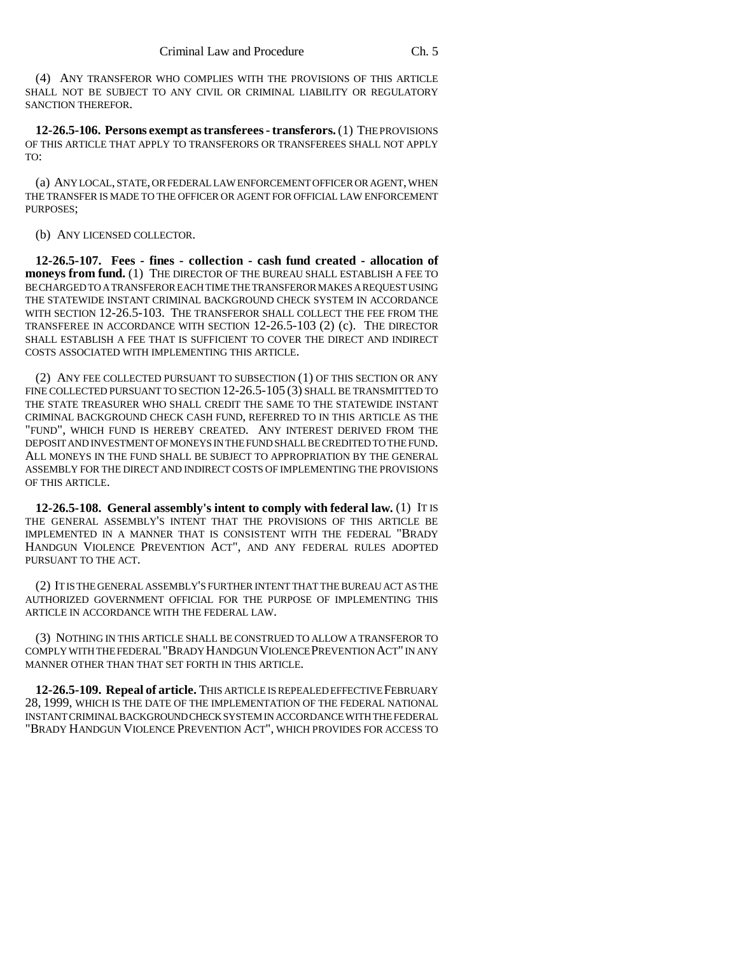(4) ANY TRANSFEROR WHO COMPLIES WITH THE PROVISIONS OF THIS ARTICLE SHALL NOT BE SUBJECT TO ANY CIVIL OR CRIMINAL LIABILITY OR REGULATORY SANCTION THEREFOR.

**12-26.5-106. Persons exempt as transferees - transferors.** (1) THE PROVISIONS OF THIS ARTICLE THAT APPLY TO TRANSFERORS OR TRANSFEREES SHALL NOT APPLY TO:

(a) ANY LOCAL, STATE, OR FEDERAL LAW ENFORCEMENT OFFICER OR AGENT, WHEN THE TRANSFER IS MADE TO THE OFFICER OR AGENT FOR OFFICIAL LAW ENFORCEMENT PURPOSES;

(b) ANY LICENSED COLLECTOR.

**12-26.5-107. Fees - fines - collection - cash fund created - allocation of moneys from fund.** (1) THE DIRECTOR OF THE BUREAU SHALL ESTABLISH A FEE TO BE CHARGED TO A TRANSFEROR EACH TIME THE TRANSFEROR MAKES A REQUEST USING THE STATEWIDE INSTANT CRIMINAL BACKGROUND CHECK SYSTEM IN ACCORDANCE WITH SECTION 12-26.5-103. THE TRANSFEROR SHALL COLLECT THE FEE FROM THE TRANSFEREE IN ACCORDANCE WITH SECTION 12-26.5-103 (2) (c). THE DIRECTOR SHALL ESTABLISH A FEE THAT IS SUFFICIENT TO COVER THE DIRECT AND INDIRECT COSTS ASSOCIATED WITH IMPLEMENTING THIS ARTICLE.

(2) ANY FEE COLLECTED PURSUANT TO SUBSECTION (1) OF THIS SECTION OR ANY FINE COLLECTED PURSUANT TO SECTION 12-26.5-105 (3) SHALL BE TRANSMITTED TO THE STATE TREASURER WHO SHALL CREDIT THE SAME TO THE STATEWIDE INSTANT CRIMINAL BACKGROUND CHECK CASH FUND, REFERRED TO IN THIS ARTICLE AS THE "FUND", WHICH FUND IS HEREBY CREATED. ANY INTEREST DERIVED FROM THE DEPOSIT AND INVESTMENT OF MONEYS IN THE FUND SHALL BE CREDITED TO THE FUND. ALL MONEYS IN THE FUND SHALL BE SUBJECT TO APPROPRIATION BY THE GENERAL ASSEMBLY FOR THE DIRECT AND INDIRECT COSTS OF IMPLEMENTING THE PROVISIONS OF THIS ARTICLE.

**12-26.5-108. General assembly's intent to comply with federal law.** (1) IT IS THE GENERAL ASSEMBLY'S INTENT THAT THE PROVISIONS OF THIS ARTICLE BE IMPLEMENTED IN A MANNER THAT IS CONSISTENT WITH THE FEDERAL "BRADY HANDGUN VIOLENCE PREVENTION ACT", AND ANY FEDERAL RULES ADOPTED PURSUANT TO THE ACT.

(2) IT IS THE GENERAL ASSEMBLY'S FURTHER INTENT THAT THE BUREAU ACT AS THE AUTHORIZED GOVERNMENT OFFICIAL FOR THE PURPOSE OF IMPLEMENTING THIS ARTICLE IN ACCORDANCE WITH THE FEDERAL LAW.

(3) NOTHING IN THIS ARTICLE SHALL BE CONSTRUED TO ALLOW A TRANSFEROR TO COMPLY WITH THE FEDERAL "BRADY HANDGUN VIOLENCE PREVENTION ACT" IN ANY MANNER OTHER THAN THAT SET FORTH IN THIS ARTICLE.

**12-26.5-109. Repeal of article.** THIS ARTICLE IS REPEALED EFFECTIVE FEBRUARY 28, 1999, WHICH IS THE DATE OF THE IMPLEMENTATION OF THE FEDERAL NATIONAL INSTANT CRIMINAL BACKGROUND CHECK SYSTEM IN ACCORDANCE WITH THE FEDERAL "BRADY HANDGUN VIOLENCE PREVENTION ACT", WHICH PROVIDES FOR ACCESS TO